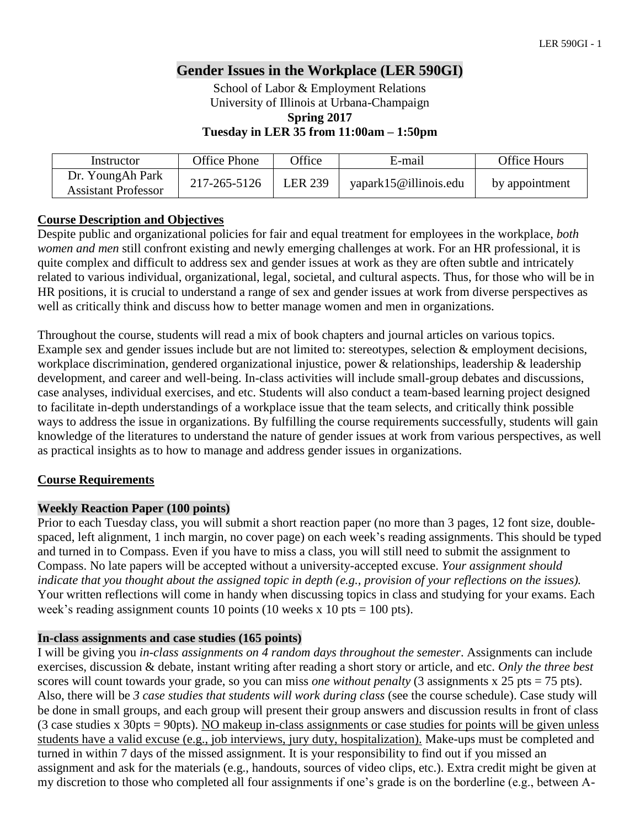# **Gender Issues in the Workplace (LER 590GI)**

School of Labor & Employment Relations University of Illinois at Urbana-Champaign **Spring 2017 Tuesday in LER 35 from 11:00am – 1:50pm**

| Instructor                                     | Office Phone | <b>Office</b>  | E-mail                | <b>Office Hours</b> |
|------------------------------------------------|--------------|----------------|-----------------------|---------------------|
| Dr. YoungAh Park<br><b>Assistant Professor</b> | 217-265-5126 | <b>LER 239</b> | yapark15@illinois.edu | by appointment      |

#### **Course Description and Objectives**

Despite public and organizational policies for fair and equal treatment for employees in the workplace, *both women and men* still confront existing and newly emerging challenges at work. For an HR professional, it is quite complex and difficult to address sex and gender issues at work as they are often subtle and intricately related to various individual, organizational, legal, societal, and cultural aspects. Thus, for those who will be in HR positions, it is crucial to understand a range of sex and gender issues at work from diverse perspectives as well as critically think and discuss how to better manage women and men in organizations.

Throughout the course, students will read a mix of book chapters and journal articles on various topics. Example sex and gender issues include but are not limited to: stereotypes, selection & employment decisions, workplace discrimination, gendered organizational injustice, power & relationships, leadership & leadership development, and career and well-being. In-class activities will include small-group debates and discussions, case analyses, individual exercises, and etc. Students will also conduct a team-based learning project designed to facilitate in-depth understandings of a workplace issue that the team selects, and critically think possible ways to address the issue in organizations. By fulfilling the course requirements successfully, students will gain knowledge of the literatures to understand the nature of gender issues at work from various perspectives, as well as practical insights as to how to manage and address gender issues in organizations.

## **Course Requirements**

#### **Weekly Reaction Paper (100 points)**

Prior to each Tuesday class, you will submit a short reaction paper (no more than 3 pages, 12 font size, doublespaced, left alignment, 1 inch margin, no cover page) on each week's reading assignments. This should be typed and turned in to Compass. Even if you have to miss a class, you will still need to submit the assignment to Compass. No late papers will be accepted without a university-accepted excuse. *Your assignment should indicate that you thought about the assigned topic in depth (e.g., provision of your reflections on the issues).* Your written reflections will come in handy when discussing topics in class and studying for your exams. Each week's reading assignment counts 10 points (10 weeks x 10 pts = 100 pts).

#### **In-class assignments and case studies (165 points)**

I will be giving you *in-class assignments on 4 random days throughout the semester*. Assignments can include exercises, discussion & debate, instant writing after reading a short story or article, and etc. *Only the three best* scores will count towards your grade, so you can miss *one without penalty* (3 assignments x 25 pts = 75 pts). Also, there will be *3 case studies that students will work during class* (see the course schedule). Case study will be done in small groups, and each group will present their group answers and discussion results in front of class (3 case studies x 30pts = 90pts). NO makeup in-class assignments or case studies for points will be given unless students have a valid excuse (e.g., job interviews, jury duty, hospitalization). Make-ups must be completed and turned in within 7 days of the missed assignment. It is your responsibility to find out if you missed an assignment and ask for the materials (e.g., handouts, sources of video clips, etc.). Extra credit might be given at my discretion to those who completed all four assignments if one's grade is on the borderline (e.g., between A-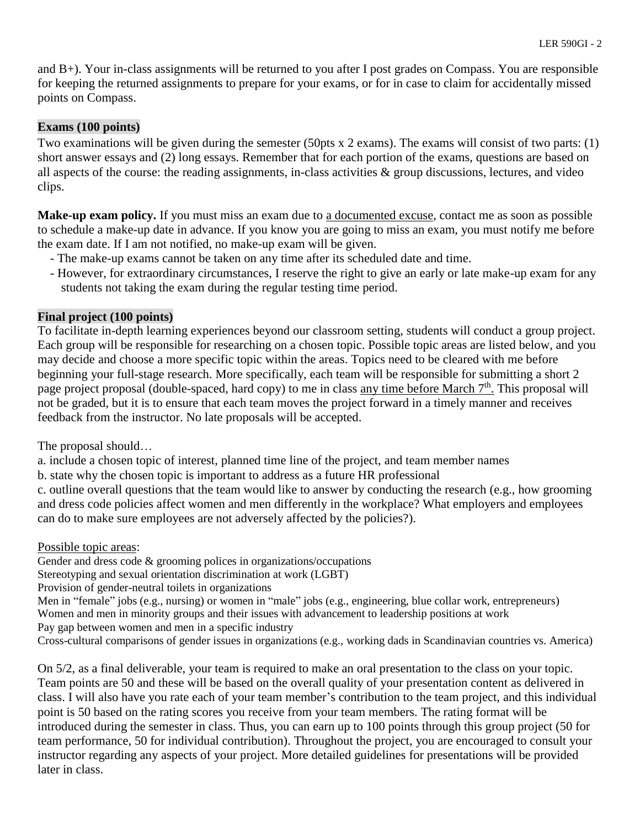and B+). Your in-class assignments will be returned to you after I post grades on Compass. You are responsible for keeping the returned assignments to prepare for your exams, or for in case to claim for accidentally missed points on Compass.

#### **Exams (100 points)**

Two examinations will be given during the semester (50pts x 2 exams). The exams will consist of two parts: (1) short answer essays and (2) long essays. Remember that for each portion of the exams, questions are based on all aspects of the course: the reading assignments, in-class activities & group discussions, lectures, and video clips.

**Make-up exam policy.** If you must miss an exam due to a documented excuse, contact me as soon as possible to schedule a make-up date in advance. If you know you are going to miss an exam, you must notify me before the exam date. If I am not notified, no make-up exam will be given.

- The make-up exams cannot be taken on any time after its scheduled date and time.
- However, for extraordinary circumstances, I reserve the right to give an early or late make-up exam for any students not taking the exam during the regular testing time period.

#### **Final project (100 points)**

To facilitate in-depth learning experiences beyond our classroom setting, students will conduct a group project. Each group will be responsible for researching on a chosen topic. Possible topic areas are listed below, and you may decide and choose a more specific topic within the areas. Topics need to be cleared with me before beginning your full-stage research. More specifically, each team will be responsible for submitting a short 2 page project proposal (double-spaced, hard copy) to me in class any time before March 7<sup>th</sup>. This proposal will not be graded, but it is to ensure that each team moves the project forward in a timely manner and receives feedback from the instructor. No late proposals will be accepted.

The proposal should…

a. include a chosen topic of interest, planned time line of the project, and team member names

b. state why the chosen topic is important to address as a future HR professional

c. outline overall questions that the team would like to answer by conducting the research (e.g., how grooming and dress code policies affect women and men differently in the workplace? What employers and employees can do to make sure employees are not adversely affected by the policies?).

Possible topic areas:

Gender and dress code & grooming polices in organizations/occupations

Stereotyping and sexual orientation discrimination at work (LGBT)

Provision of gender-neutral toilets in organizations

Men in "female" jobs (e.g., nursing) or women in "male" jobs (e.g., engineering, blue collar work, entrepreneurs) Women and men in minority groups and their issues with advancement to leadership positions at work Pay gap between women and men in a specific industry

Cross-cultural comparisons of gender issues in organizations (e.g., working dads in Scandinavian countries vs. America)

On 5/2, as a final deliverable, your team is required to make an oral presentation to the class on your topic. Team points are 50 and these will be based on the overall quality of your presentation content as delivered in class. I will also have you rate each of your team member's contribution to the team project, and this individual point is 50 based on the rating scores you receive from your team members. The rating format will be introduced during the semester in class. Thus, you can earn up to 100 points through this group project (50 for team performance, 50 for individual contribution). Throughout the project, you are encouraged to consult your instructor regarding any aspects of your project. More detailed guidelines for presentations will be provided later in class.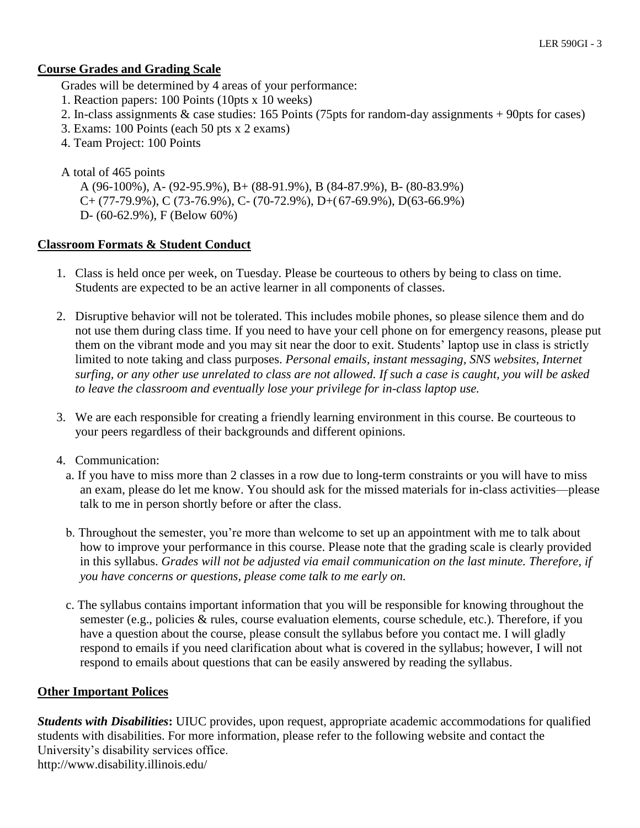#### **Course Grades and Grading Scale**

Grades will be determined by 4 areas of your performance:

- 1. Reaction papers: 100 Points (10pts x 10 weeks)
- 2. In-class assignments & case studies: 165 Points (75pts for random-day assignments + 90pts for cases)
- 3. Exams: 100 Points (each 50 pts x 2 exams)
- 4. Team Project: 100 Points

A total of 465 points

A (96-100%), A- (92-95.9%), B+ (88-91.9%), B (84-87.9%), B- (80-83.9%)  $C+(77-79.9\%)$ , C (73-76.9%), C- (70-72.9%), D+(67-69.9%), D(63-66.9%) D- (60-62.9%), F (Below 60%)

#### **Classroom Formats & Student Conduct**

- 1. Class is held once per week, on Tuesday. Please be courteous to others by being to class on time. Students are expected to be an active learner in all components of classes.
- 2. Disruptive behavior will not be tolerated. This includes mobile phones, so please silence them and do not use them during class time. If you need to have your cell phone on for emergency reasons, please put them on the vibrant mode and you may sit near the door to exit. Students' laptop use in class is strictly limited to note taking and class purposes. *Personal emails, instant messaging, SNS websites, Internet surfing, or any other use unrelated to class are not allowed. If such a case is caught, you will be asked to leave the classroom and eventually lose your privilege for in-class laptop use.*
- 3. We are each responsible for creating a friendly learning environment in this course. Be courteous to your peers regardless of their backgrounds and different opinions.
- 4. Communication:
	- a. If you have to miss more than 2 classes in a row due to long-term constraints or you will have to miss an exam, please do let me know. You should ask for the missed materials for in-class activities—please talk to me in person shortly before or after the class.
	- b. Throughout the semester, you're more than welcome to set up an appointment with me to talk about how to improve your performance in this course. Please note that the grading scale is clearly provided in this syllabus. *Grades will not be adjusted via email communication on the last minute. Therefore, if you have concerns or questions, please come talk to me early on.*
	- c. The syllabus contains important information that you will be responsible for knowing throughout the semester (e.g., policies & rules, course evaluation elements, course schedule, etc.). Therefore, if you have a question about the course, please consult the syllabus before you contact me. I will gladly respond to emails if you need clarification about what is covered in the syllabus; however, I will not respond to emails about questions that can be easily answered by reading the syllabus.

#### **Other Important Polices**

*Students with Disabilities***:** UIUC provides, upon request, appropriate academic accommodations for qualified students with disabilities. For more information, please refer to the following website and contact the University's disability services office. http://www.disability.illinois.edu/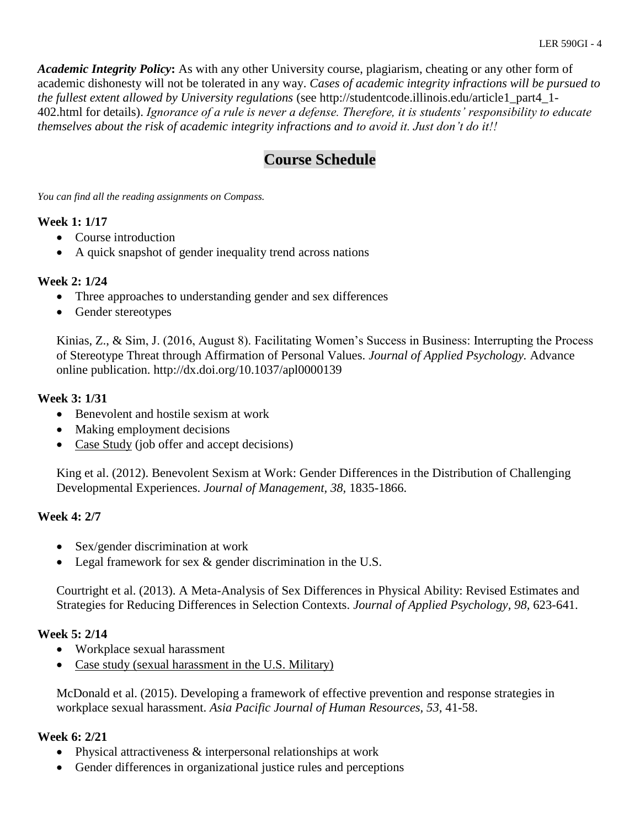*Academic Integrity Policy***:** As with any other University course, plagiarism, cheating or any other form of academic dishonesty will not be tolerated in any way. *Cases of academic integrity infractions will be pursued to the fullest extent allowed by University regulations* (see http://studentcode.illinois.edu/article1\_part4\_1- 402.html for details). *Ignorance of a rule is never a defense. Therefore, it is students' responsibility to educate themselves about the risk of academic integrity infractions and to avoid it. Just don't do it!!*

# **Course Schedule**

*You can find all the reading assignments on Compass.*

## **Week 1: 1/17**

- Course introduction
- A quick snapshot of gender inequality trend across nations

## **Week 2: 1/24**

- Three approaches to understanding gender and sex differences
- Gender stereotypes

Kinias, Z., & Sim, J. (2016, August 8). Facilitating Women's Success in Business: Interrupting the Process of Stereotype Threat through Affirmation of Personal Values. *Journal of Applied Psychology.* Advance online publication. http://dx.doi.org/10.1037/apl0000139

#### **Week 3: 1/31**

- Benevolent and hostile sexism at work
- Making employment decisions
- Case Study (job offer and accept decisions)

King et al. (2012). Benevolent Sexism at Work: Gender Differences in the Distribution of Challenging Developmental Experiences. *Journal of Management, 38,* 1835-1866.

## **Week 4: 2/7**

- Sex/gender discrimination at work
- Legal framework for sex & gender discrimination in the U.S.

Courtright et al. (2013). A Meta-Analysis of Sex Differences in Physical Ability: Revised Estimates and Strategies for Reducing Differences in Selection Contexts. *Journal of Applied Psychology, 98,* 623-641.

## **Week 5: 2/14**

- Workplace sexual harassment
- Case study (sexual harassment in the U.S. Military)

McDonald et al. (2015). Developing a framework of effective prevention and response strategies in workplace sexual harassment. *Asia Pacific Journal of Human Resources, 53,* 41-58.

#### **Week 6: 2/21**

- Physical attractiveness & interpersonal relationships at work
- Gender differences in organizational justice rules and perceptions